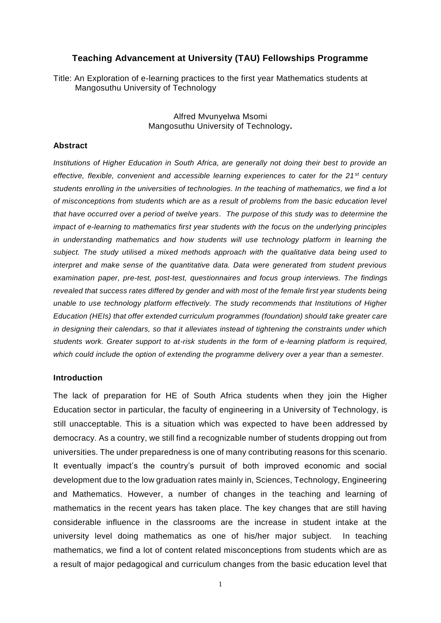# **Teaching Advancement at University (TAU) Fellowships Programme**

Title: An Exploration of e-learning practices to the first year Mathematics students at Mangosuthu University of Technology

> Alfred Mvunyelwa Msomi Mangosuthu University of Technology**.**

#### **Abstract**

*Institutions of Higher Education in South Africa, are generally not doing their best to provide an effective, flexible, convenient and accessible learning experiences to cater for the 21st century students enrolling in the universities of technologies. In the teaching of mathematics, we find a lot of misconceptions from students which are as a result of problems from the basic education level that have occurred over a period of twelve years. The purpose of this study was to determine the impact of e-learning to mathematics first year students with the focus on the underlying principles in understanding mathematics and how students will use technology platform in learning the subject. The study utilised a mixed methods approach with the qualitative data being used to interpret and make sense of the quantitative data. Data were generated from student previous examination paper, pre-test, post-test, questionnaires and focus group interviews. The findings revealed that success rates differed by gender and with most of the female first year students being unable to use technology platform effectively. The study recommends that Institutions of Higher Education (HEIs) that offer extended curriculum programmes (foundation) should take greater care in designing their calendars, so that it alleviates instead of tightening the constraints under which students work. Greater support to at-risk students in the form of e-learning platform is required, which could include the option of extending the programme delivery over a year than a semester.*

## **Introduction**

The lack of preparation for HE of South Africa students when they join the Higher Education sector in particular, the faculty of engineering in a University of Technology, is still unacceptable. This is a situation which was expected to have been addressed by democracy. As a country, we still find a recognizable number of students dropping out from universities. The under preparedness is one of many contributing reasons for this scenario. It eventually impact's the country's pursuit of both improved economic and social development due to the low graduation rates mainly in, Sciences, Technology, Engineering and Mathematics. However, a number of changes in the teaching and learning of mathematics in the recent years has taken place. The key changes that are still having considerable influence in the classrooms are the increase in student intake at the university level doing mathematics as one of his/her major subject. In teaching mathematics, we find a lot of content related misconceptions from students which are as a result of major pedagogical and curriculum changes from the basic education level that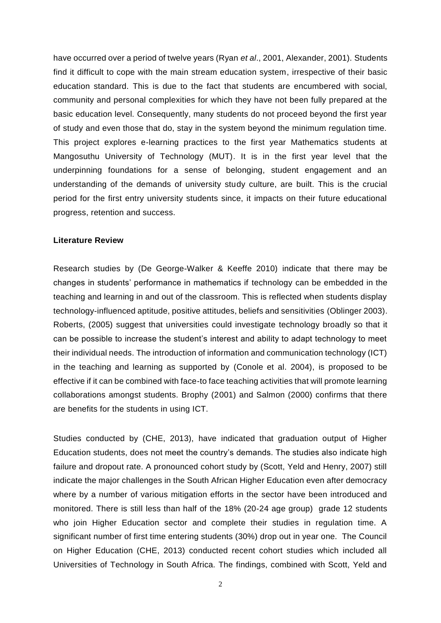have occurred over a period of twelve years (Ryan *et al*., 2001, Alexander, 2001). Students find it difficult to cope with the main stream education system, irrespective of their basic education standard. This is due to the fact that students are encumbered with social, community and personal complexities for which they have not been fully prepared at the basic education level. Consequently, many students do not proceed beyond the first year of study and even those that do, stay in the system beyond the minimum regulation time. This project explores e-learning practices to the first year Mathematics students at Mangosuthu University of Technology (MUT). It is in the first year level that the underpinning foundations for a sense of belonging, student engagement and an understanding of the demands of university study culture, are built. This is the crucial period for the first entry university students since, it impacts on their future educational progress, retention and success.

## **Literature Review**

Research studies by (De George-Walker & Keeffe 2010) indicate that there may be changes in students' performance in mathematics if technology can be embedded in the teaching and learning in and out of the classroom. This is reflected when students display technology-influenced aptitude, positive attitudes, beliefs and sensitivities (Oblinger 2003). Roberts, (2005) suggest that universities could investigate technology broadly so that it can be possible to increase the student's interest and ability to adapt technology to meet their individual needs. The introduction of information and communication technology (ICT) in the teaching and learning as supported by (Conole et al. 2004), is proposed to be effective if it can be combined with face-to face teaching activities that will promote learning collaborations amongst students. Brophy (2001) and Salmon (2000) confirms that there are benefits for the students in using ICT.

Studies conducted by (CHE, 2013), have indicated that graduation output of Higher Education students, does not meet the country's demands. The studies also indicate high failure and dropout rate. A pronounced cohort study by (Scott, Yeld and Henry, 2007) still indicate the major challenges in the South African Higher Education even after democracy where by a number of various mitigation efforts in the sector have been introduced and monitored. There is still less than half of the 18% (20-24 age group) grade 12 students who join Higher Education sector and complete their studies in regulation time. A significant number of first time entering students (30%) drop out in year one. The Council on Higher Education (CHE, 2013) conducted recent cohort studies which included all Universities of Technology in South Africa. The findings, combined with Scott, Yeld and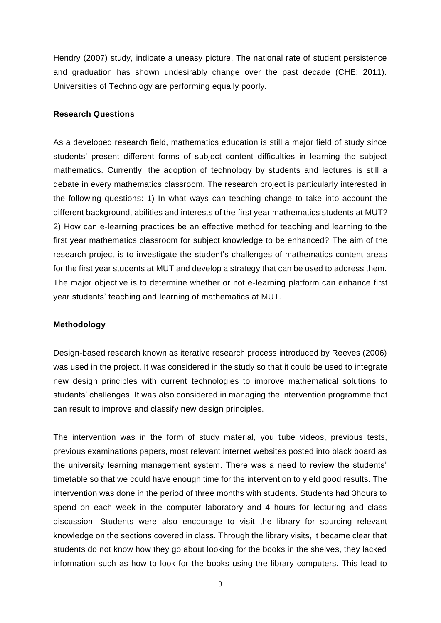Hendry (2007) study, indicate a uneasy picture. The national rate of student persistence and graduation has shown undesirably change over the past decade (CHE: 2011). Universities of Technology are performing equally poorly.

#### **Research Questions**

As a developed research field, mathematics education is still a major field of study since students' present different forms of subject content difficulties in learning the subject mathematics. Currently, the adoption of technology by students and lectures is still a debate in every mathematics classroom. The research project is particularly interested in the following questions: 1) In what ways can teaching change to take into account the different background, abilities and interests of the first year mathematics students at MUT? 2) How can e-learning practices be an effective method for teaching and learning to the first year mathematics classroom for subject knowledge to be enhanced? The aim of the research project is to investigate the student's challenges of mathematics content areas for the first year students at MUT and develop a strategy that can be used to address them. The major objective is to determine whether or not e-learning platform can enhance first year students' teaching and learning of mathematics at MUT.

#### **Methodology**

Design-based research known as iterative research process introduced by Reeves (2006) was used in the project. It was considered in the study so that it could be used to integrate new design principles with current technologies to improve mathematical solutions to students' challenges. It was also considered in managing the intervention programme that can result to improve and classify new design principles.

The intervention was in the form of study material, you tube videos, previous tests, previous examinations papers, most relevant internet websites posted into black board as the university learning management system. There was a need to review the students' timetable so that we could have enough time for the intervention to yield good results. The intervention was done in the period of three months with students. Students had 3hours to spend on each week in the computer laboratory and 4 hours for lecturing and class discussion. Students were also encourage to visit the library for sourcing relevant knowledge on the sections covered in class. Through the library visits, it became clear that students do not know how they go about looking for the books in the shelves, they lacked information such as how to look for the books using the library computers. This lead to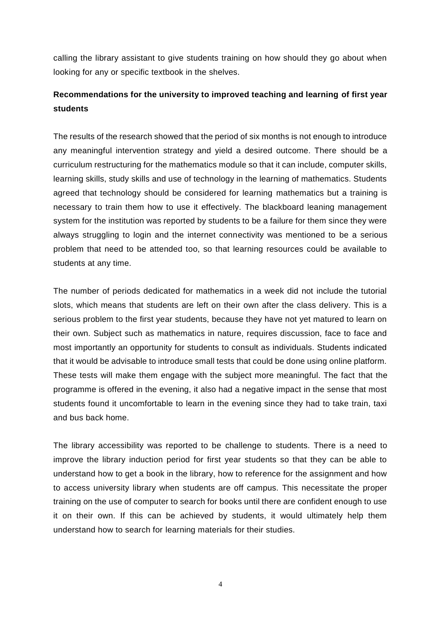calling the library assistant to give students training on how should they go about when looking for any or specific textbook in the shelves.

# **Recommendations for the university to improved teaching and learning of first year students**

The results of the research showed that the period of six months is not enough to introduce any meaningful intervention strategy and yield a desired outcome. There should be a curriculum restructuring for the mathematics module so that it can include, computer skills, learning skills, study skills and use of technology in the learning of mathematics. Students agreed that technology should be considered for learning mathematics but a training is necessary to train them how to use it effectively. The blackboard leaning management system for the institution was reported by students to be a failure for them since they were always struggling to login and the internet connectivity was mentioned to be a serious problem that need to be attended too, so that learning resources could be available to students at any time.

The number of periods dedicated for mathematics in a week did not include the tutorial slots, which means that students are left on their own after the class delivery. This is a serious problem to the first year students, because they have not yet matured to learn on their own. Subject such as mathematics in nature, requires discussion, face to face and most importantly an opportunity for students to consult as individuals. Students indicated that it would be advisable to introduce small tests that could be done using online platform. These tests will make them engage with the subject more meaningful. The fact that the programme is offered in the evening, it also had a negative impact in the sense that most students found it uncomfortable to learn in the evening since they had to take train, taxi and bus back home.

The library accessibility was reported to be challenge to students. There is a need to improve the library induction period for first year students so that they can be able to understand how to get a book in the library, how to reference for the assignment and how to access university library when students are off campus. This necessitate the proper training on the use of computer to search for books until there are confident enough to use it on their own. If this can be achieved by students, it would ultimately help them understand how to search for learning materials for their studies.